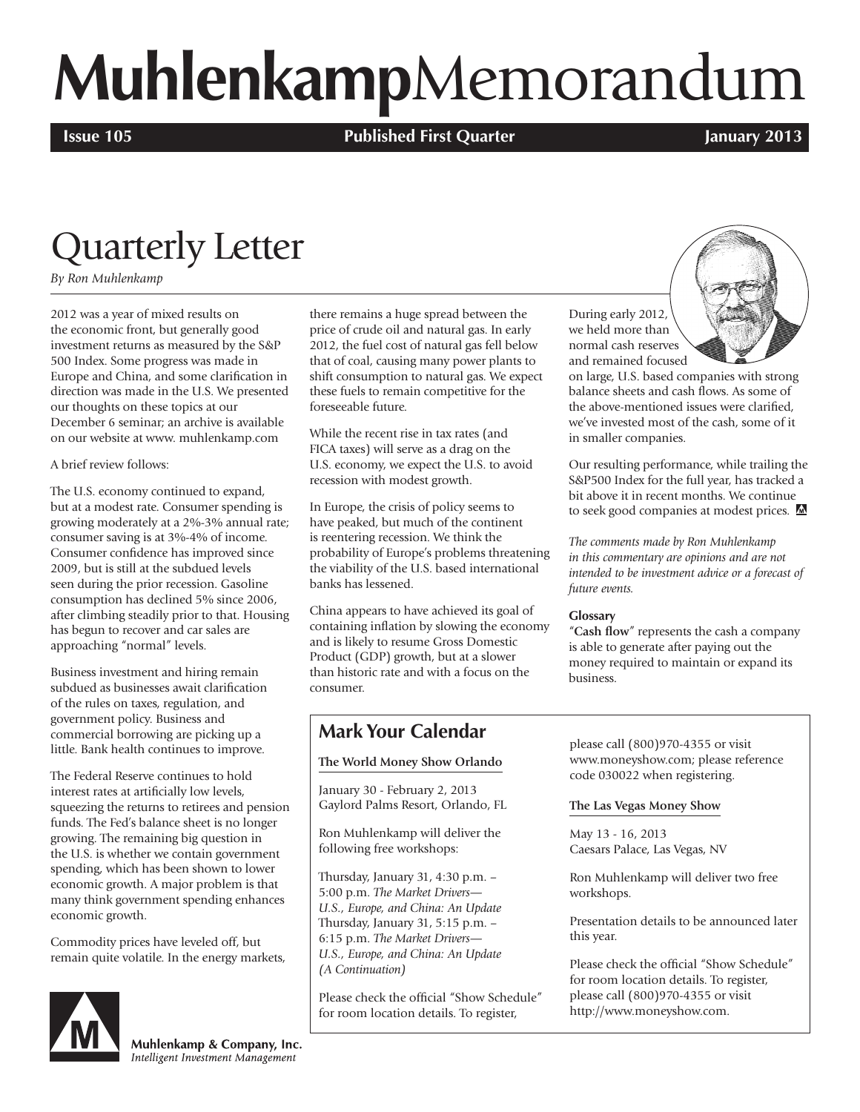# **Muhlenkamp**Memorandum

**Issue 105 Published First Quarter January 2013**

### Quarterly Letter

*By Ron Muhlenkamp*

2012 was a year of mixed results on the economic front, but generally good investment returns as measured by the S&P 500 Index. Some progress was made in Europe and China, and some clarification in direction was made in the U.S. We presented our thoughts on these topics at our December 6 seminar; an archive is available on our website at www. muhlenkamp.com

A brief review follows:

The U.S. economy continued to expand, but at a modest rate. Consumer spending is growing moderately at a 2%-3% annual rate; consumer saving is at 3%-4% of income. Consumer confidence has improved since 2009, but is still at the subdued levels seen during the prior recession. Gasoline consumption has declined 5% since 2006, after climbing steadily prior to that. Housing has begun to recover and car sales are approaching "normal" levels.

Business investment and hiring remain subdued as businesses await clarification of the rules on taxes, regulation, and government policy. Business and commercial borrowing are picking up a little. Bank health continues to improve.

The Federal Reserve continues to hold interest rates at artificially low levels, squeezing the returns to retirees and pension funds. The Fed's balance sheet is no longer growing. The remaining big question in the U.S. is whether we contain government spending, which has been shown to lower economic growth. A major problem is that many think government spending enhances economic growth.

Commodity prices have leveled off, but remain quite volatile. In the energy markets,



Muhlenkamp & Company, Inc. Intelligent Investment Management

there remains a huge spread between the price of crude oil and natural gas. In early 2012, the fuel cost of natural gas fell below that of coal, causing many power plants to shift consumption to natural gas. We expect these fuels to remain competitive for the foreseeable future.

While the recent rise in tax rates (and FICA taxes) will serve as a drag on the U.S. economy, we expect the U.S. to avoid recession with modest growth.

In Europe, the crisis of policy seems to have peaked, but much of the continent is reentering recession. We think the probability of Europe's problems threatening the viability of the U.S. based international banks has lessened.

China appears to have achieved its goal of containing inflation by slowing the economy and is likely to resume Gross Domestic Product (GDP) growth, but at a slower than historic rate and with a focus on the consumer.

### **Mark Your Calendar**

#### **The World Money Show Orlando**

January 30 - February 2, 2013 Gaylord Palms Resort, Orlando, FL

Ron Muhlenkamp will deliver the following free workshops:

Thursday, January 31, 4:30 p.m. – 5:00 p.m. *The Market Drivers— U.S., Europe, and China: An Update* Thursday, January 31, 5:15 p.m. – 6:15 p.m. *The Market Drivers— U.S., Europe, and China: An Update (A Continuation)*

Please check the official "Show Schedule" for room location details. To register,

During early 2012, we held more than normal cash reserves and remained focused

on large, U.S. based companies with strong balance sheets and cash flows. As some of the above-mentioned issues were clarified, we've invested most of the cash, some of it in smaller companies.

Our resulting performance, while trailing the S&P500 Index for the full year, has tracked a bit above it in recent months. We continue to seek good companies at modest prices. M

*The comments made by Ron Muhlenkamp in this commentary are opinions and are not intended to be investment advice or a forecast of future events.*

#### **Glossary**

"**Cash flow**" represents the cash a company is able to generate after paying out the money required to maintain or expand its business.

please call (800)970-4355 or visit www.moneyshow.com; please reference code 030022 when registering.

#### **The Las Vegas Money Show**

May 13 - 16, 2013 Caesars Palace, Las Vegas, NV

Ron Muhlenkamp will deliver two free workshops.

Presentation details to be announced later this year.

Please check the official "Show Schedule" for room location details. To register, please call (800)970-4355 or visit http://www.moneyshow.com.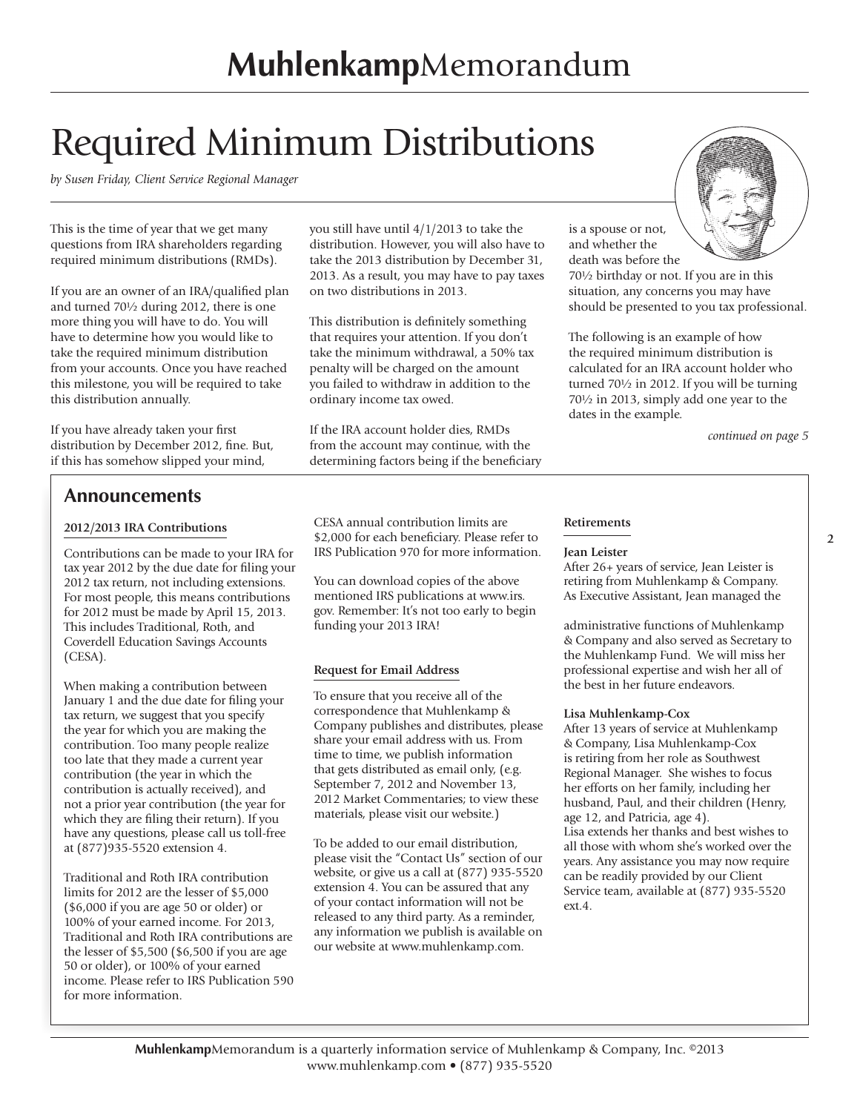### Required Minimum Distributions

*by Susen Friday, Client Service Regional Manager*

This is the time of year that we get many questions from IRA shareholders regarding required minimum distributions (RMDs).

If you are an owner of an IRA/qualified plan and turned 70½ during 2012, there is one more thing you will have to do. You will have to determine how you would like to take the required minimum distribution from your accounts. Once you have reached this milestone, you will be required to take this distribution annually.

If you have already taken your first distribution by December 2012, fine. But, if this has somehow slipped your mind,

#### **Announcements**

#### **2012/2013 IRA Contributions**

Contributions can be made to your IRA for tax year 2012 by the due date for filing your 2012 tax return, not including extensions. For most people, this means contributions for 2012 must be made by April 15, 2013. This includes Traditional, Roth, and Coverdell Education Savings Accounts (CESA).

When making a contribution between January 1 and the due date for filing your tax return, we suggest that you specify the year for which you are making the contribution. Too many people realize too late that they made a current year contribution (the year in which the contribution is actually received), and not a prior year contribution (the year for which they are filing their return). If you have any questions, please call us toll-free at (877)935-5520 extension 4.

Traditional and Roth IRA contribution limits for 2012 are the lesser of \$5,000 (\$6,000 if you are age 50 or older) or 100% of your earned income. For 2013, Traditional and Roth IRA contributions are the lesser of \$5,500 (\$6,500 if you are age 50 or older), or 100% of your earned income. Please refer to IRS Publication 590 for more information.

you still have until 4/1/2013 to take the distribution. However, you will also have to take the 2013 distribution by December 31, 2013. As a result, you may have to pay taxes on two distributions in 2013.

This distribution is definitely something that requires your attention. If you don't take the minimum withdrawal, a 50% tax penalty will be charged on the amount you failed to withdraw in addition to the ordinary income tax owed.

If the IRA account holder dies, RMDs from the account may continue, with the determining factors being if the beneficiary



is a spouse or not, and whether the death was before the

70½ birthday or not. If you are in this situation, any concerns you may have should be presented to you tax professional.

The following is an example of how the required minimum distribution is calculated for an IRA account holder who turned 70½ in 2012. If you will be turning 70½ in 2013, simply add one year to the dates in the example.

*continued on page 5*

CESA annual contribution limits are \$2,000 for each beneficiary. Please refer to IRS Publication 970 for more information.

You can download copies of the above mentioned IRS publications at www.irs. gov. Remember: It's not too early to begin funding your 2013 IRA!

#### **Request for Email Address**

To ensure that you receive all of the correspondence that Muhlenkamp & Company publishes and distributes, please share your email address with us. From time to time, we publish information that gets distributed as email only, (e.g. September 7, 2012 and November 13, 2012 Market Commentaries; to view these materials, please visit our website.)

To be added to our email distribution, please visit the "Contact Us" section of our website, or give us a call at (877) 935-5520 extension 4. You can be assured that any of your contact information will not be released to any third party. As a reminder, any information we publish is available on our website at www.muhlenkamp.com.

#### **Retirements**

#### **Jean Leister**

After 26+ years of service, Jean Leister is retiring from Muhlenkamp & Company. As Executive Assistant, Jean managed the

administrative functions of Muhlenkamp & Company and also served as Secretary to the Muhlenkamp Fund. We will miss her professional expertise and wish her all of the best in her future endeavors.

#### **Lisa Muhlenkamp-Cox**

After 13 years of service at Muhlenkamp & Company, Lisa Muhlenkamp-Cox is retiring from her role as Southwest Regional Manager. She wishes to focus her efforts on her family, including her husband, Paul, and their children (Henry, age 12, and Patricia, age 4). Lisa extends her thanks and best wishes to all those with whom she's worked over the years. Any assistance you may now require can be readily provided by our Client Service team, available at (877) 935-5520 ext.4.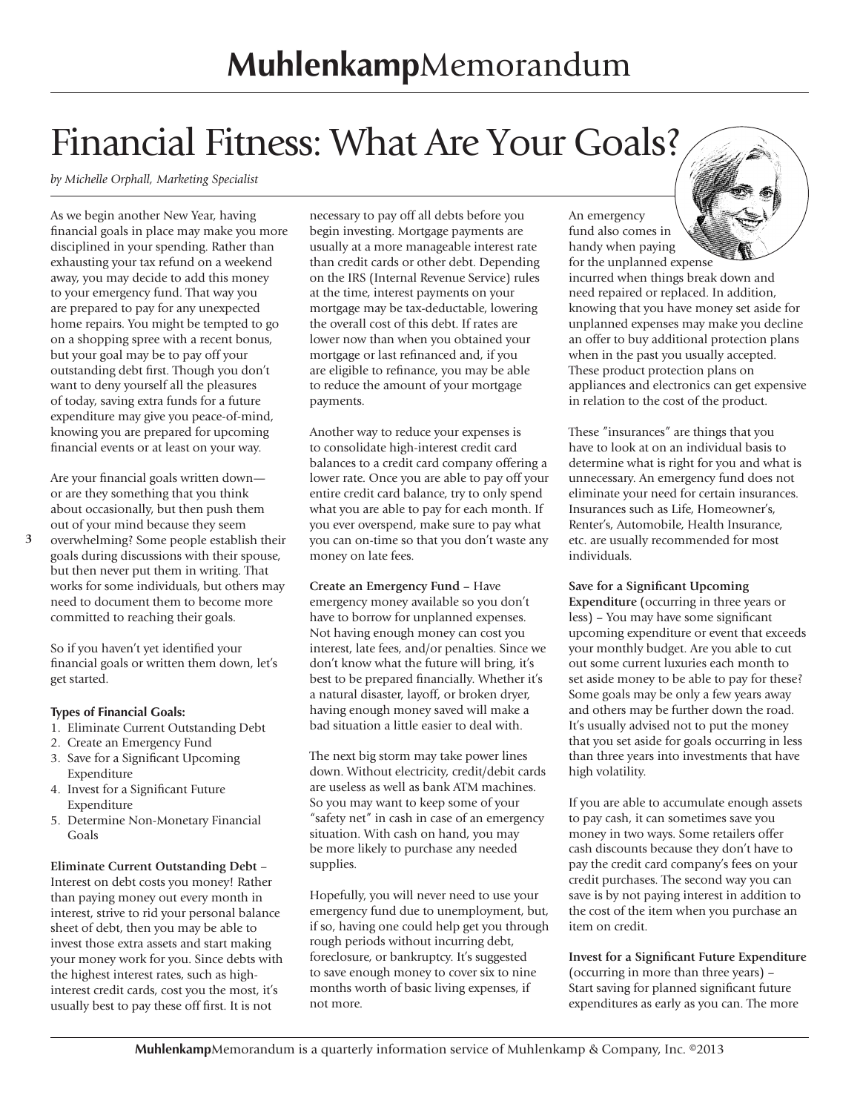### Financial Fitness: What Are Your Goals?

*by Michelle Orphall, Marketing Specialist* 

As we begin another New Year, having financial goals in place may make you more disciplined in your spending. Rather than exhausting your tax refund on a weekend away, you may decide to add this money to your emergency fund. That way you are prepared to pay for any unexpected home repairs. You might be tempted to go on a shopping spree with a recent bonus, but your goal may be to pay off your outstanding debt first. Though you don't want to deny yourself all the pleasures of today, saving extra funds for a future expenditure may give you peace-of-mind, knowing you are prepared for upcoming financial events or at least on your way.

Are your financial goals written down or are they something that you think about occasionally, but then push them out of your mind because they seem

overwhelming? Some people establish their goals during discussions with their spouse, but then never put them in writing. That works for some individuals, but others may need to document them to become more committed to reaching their goals. **3**

So if you haven't yet identified your financial goals or written them down, let's get started.

#### **Types of Financial Goals:**

- 1. Eliminate Current Outstanding Debt
- 2. Create an Emergency Fund
- 3. Save for a Significant Upcoming Expenditure
- 4. Invest for a Significant Future Expenditure
- 5. Determine Non-Monetary Financial Goals

#### **Eliminate Current Outstanding Debt** –

Interest on debt costs you money! Rather than paying money out every month in interest, strive to rid your personal balance sheet of debt, then you may be able to invest those extra assets and start making your money work for you. Since debts with the highest interest rates, such as highinterest credit cards, cost you the most, it's usually best to pay these off first. It is not

necessary to pay off all debts before you begin investing. Mortgage payments are usually at a more manageable interest rate than credit cards or other debt. Depending on the IRS (Internal Revenue Service) rules at the time, interest payments on your mortgage may be tax-deductable, lowering the overall cost of this debt. If rates are lower now than when you obtained your mortgage or last refinanced and, if you are eligible to refinance, you may be able to reduce the amount of your mortgage payments.

Another way to reduce your expenses is to consolidate high-interest credit card balances to a credit card company offering a lower rate. Once you are able to pay off your entire credit card balance, try to only spend what you are able to pay for each month. If you ever overspend, make sure to pay what you can on-time so that you don't waste any money on late fees.

**Create an Emergency Fund** – Have emergency money available so you don't have to borrow for unplanned expenses. Not having enough money can cost you interest, late fees, and/or penalties. Since we don't know what the future will bring, it's best to be prepared financially. Whether it's a natural disaster, layoff, or broken dryer, having enough money saved will make a bad situation a little easier to deal with.

The next big storm may take power lines down. Without electricity, credit/debit cards are useless as well as bank ATM machines. So you may want to keep some of your "safety net" in cash in case of an emergency situation. With cash on hand, you may be more likely to purchase any needed supplies.

Hopefully, you will never need to use your emergency fund due to unemployment, but, if so, having one could help get you through rough periods without incurring debt, foreclosure, or bankruptcy. It's suggested to save enough money to cover six to nine months worth of basic living expenses, if not more.

An emergency fund also comes in handy when paying

for the unplanned expense incurred when things break down and need repaired or replaced. In addition, knowing that you have money set aside for unplanned expenses may make you decline an offer to buy additional protection plans when in the past you usually accepted. These product protection plans on appliances and electronics can get expensive in relation to the cost of the product.

These "insurances" are things that you have to look at on an individual basis to determine what is right for you and what is unnecessary. An emergency fund does not eliminate your need for certain insurances. Insurances such as Life, Homeowner's, Renter's, Automobile, Health Insurance, etc. are usually recommended for most individuals.

#### **Save for a Significant Upcoming**

**Expenditure** (occurring in three years or less) – You may have some significant upcoming expenditure or event that exceeds your monthly budget. Are you able to cut out some current luxuries each month to set aside money to be able to pay for these? Some goals may be only a few years away and others may be further down the road. It's usually advised not to put the money that you set aside for goals occurring in less than three years into investments that have high volatility.

If you are able to accumulate enough assets to pay cash, it can sometimes save you money in two ways. Some retailers offer cash discounts because they don't have to pay the credit card company's fees on your credit purchases. The second way you can save is by not paying interest in addition to the cost of the item when you purchase an item on credit.

**Invest for a Significant Future Expenditure**  (occurring in more than three years) – Start saving for planned significant future expenditures as early as you can. The more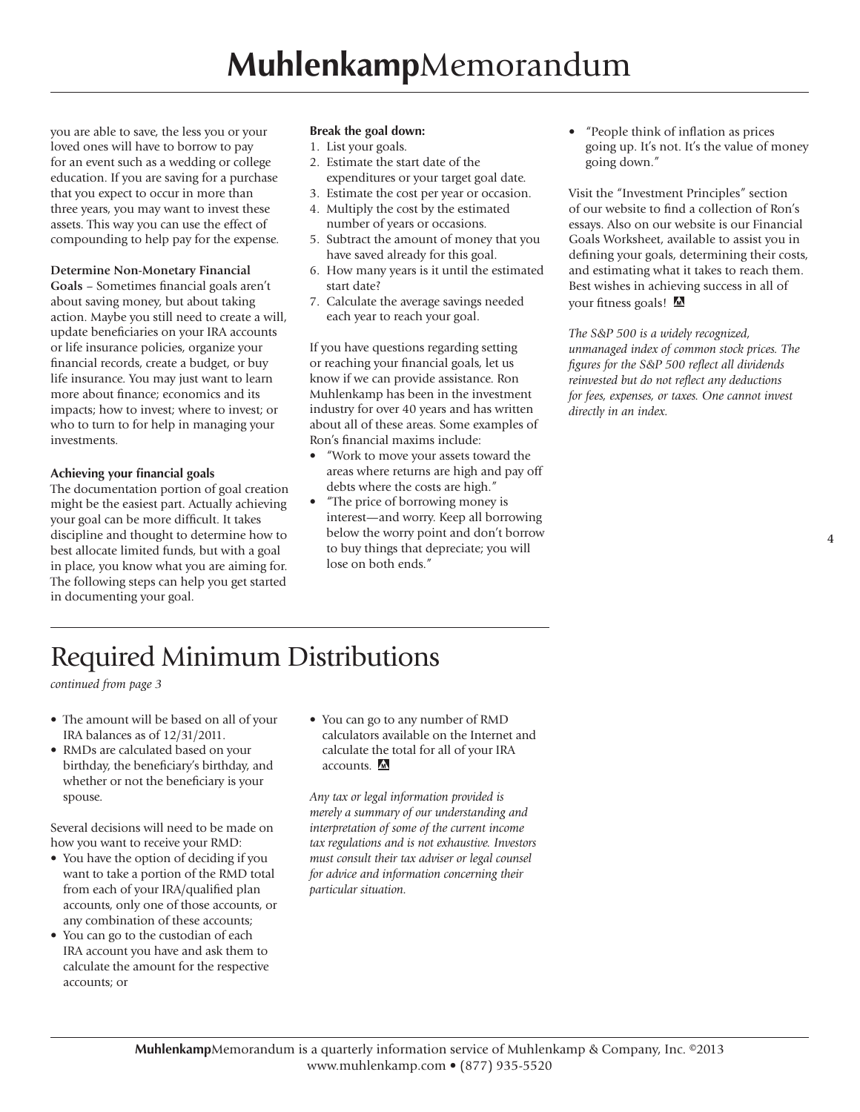you are able to save, the less you or your loved ones will have to borrow to pay for an event such as a wedding or college education. If you are saving for a purchase that you expect to occur in more than three years, you may want to invest these assets. This way you can use the effect of compounding to help pay for the expense.

#### **Determine Non-Monetary Financial**

**Goals** – Sometimes financial goals aren't about saving money, but about taking action. Maybe you still need to create a will, update beneficiaries on your IRA accounts or life insurance policies, organize your financial records, create a budget, or buy life insurance. You may just want to learn more about finance; economics and its impacts; how to invest; where to invest; or who to turn to for help in managing your investments.

#### **Achieving your financial goals**

The documentation portion of goal creation might be the easiest part. Actually achieving your goal can be more difficult. It takes discipline and thought to determine how to best allocate limited funds, but with a goal in place, you know what you are aiming for. The following steps can help you get started in documenting your goal.

#### **Break the goal down:**

- 1. List your goals.
- 2. Estimate the start date of the expenditures or your target goal date.
- 3. Estimate the cost per year or occasion.
- 4. Multiply the cost by the estimated
- number of years or occasions.
- 5. Subtract the amount of money that you have saved already for this goal.
- 6. How many years is it until the estimated start date?
- 7. Calculate the average savings needed each year to reach your goal.

If you have questions regarding setting or reaching your financial goals, let us know if we can provide assistance. Ron Muhlenkamp has been in the investment industry for over 40 years and has written about all of these areas. Some examples of Ron's financial maxims include:

- "Work to move your assets toward the areas where returns are high and pay off debts where the costs are high."
- "The price of borrowing money is interest—and worry. Keep all borrowing below the worry point and don't borrow to buy things that depreciate; you will lose on both ends."

• "People think of inflation as prices going up. It's not. It's the value of money going down."

Visit the "Investment Principles" section of our website to find a collection of Ron's essays. Also on our website is our Financial Goals Worksheet, available to assist you in defining your goals, determining their costs, and estimating what it takes to reach them. Best wishes in achieving success in all of your fitness goals!

*The S&P 500 is a widely recognized, unmanaged index of common stock prices. The figures for the S&P 500 reflect all dividends reinvested but do not reflect any deductions for fees, expenses, or taxes. One cannot invest directly in an index.*

### Required Minimum Distributions

*continued from page 3*

- The amount will be based on all of your IRA balances as of 12/31/2011.
- RMDs are calculated based on your birthday, the beneficiary's birthday, and whether or not the beneficiary is your spouse.

Several decisions will need to be made on how you want to receive your RMD:

- You have the option of deciding if you want to take a portion of the RMD total from each of your IRA/qualified plan accounts, only one of those accounts, or any combination of these accounts;
- You can go to the custodian of each IRA account you have and ask them to calculate the amount for the respective accounts; or

• You can go to any number of RMD calculators available on the Internet and calculate the total for all of your IRA accounts. M

*Any tax or legal information provided is merely a summary of our understanding and interpretation of some of the current income tax regulations and is not exhaustive. Investors must consult their tax adviser or legal counsel for advice and information concerning their particular situation.*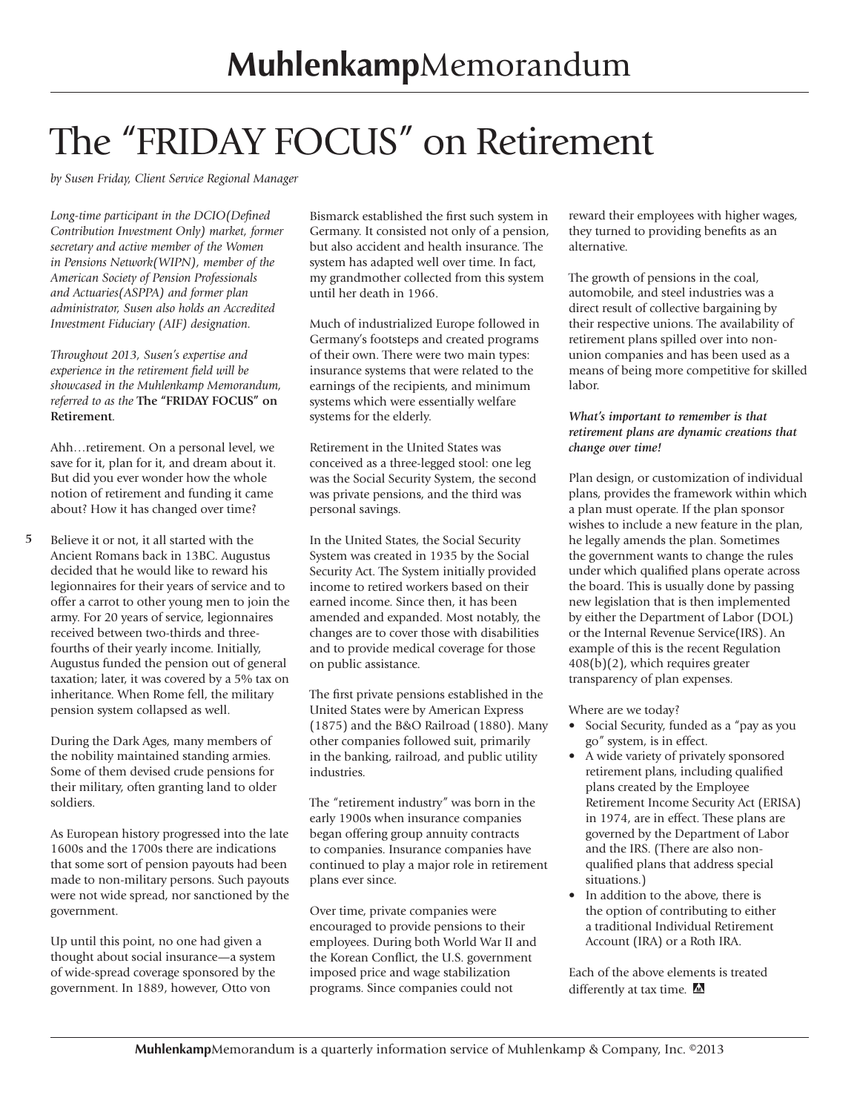## The "FRIDAY FOCUS" on Retirement

*by Susen Friday, Client Service Regional Manager*

*Long-time participant in the DCIO(Defined Contribution Investment Only) market, former secretary and active member of the Women in Pensions Network(WIPN), member of the American Society of Pension Professionals and Actuaries(ASPPA) and former plan administrator, Susen also holds an Accredited Investment Fiduciary (AIF) designation.*

*Throughout 2013, Susen's expertise and experience in the retirement field will be showcased in the Muhlenkamp Memorandum, referred to as the* **The "FRIDAY FOCUS" on Retirement***.*

Ahh…retirement. On a personal level, we save for it, plan for it, and dream about it. But did you ever wonder how the whole notion of retirement and funding it came about? How it has changed over time?

**5** Believe it or not, it all started with the Ancient Romans back in 13BC. Augustus decided that he would like to reward his legionnaires for their years of service and to offer a carrot to other young men to join the army. For 20 years of service, legionnaires received between two-thirds and threefourths of their yearly income. Initially, Augustus funded the pension out of general taxation; later, it was covered by a 5% tax on inheritance. When Rome fell, the military pension system collapsed as well.

During the Dark Ages, many members of the nobility maintained standing armies. Some of them devised crude pensions for their military, often granting land to older soldiers.

As European history progressed into the late 1600s and the 1700s there are indications that some sort of pension payouts had been made to non-military persons. Such payouts were not wide spread, nor sanctioned by the government.

Up until this point, no one had given a thought about social insurance—a system of wide-spread coverage sponsored by the government. In 1889, however, Otto von

Bismarck established the first such system in Germany. It consisted not only of a pension, but also accident and health insurance. The system has adapted well over time. In fact, my grandmother collected from this system until her death in 1966.

Much of industrialized Europe followed in Germany's footsteps and created programs of their own. There were two main types: insurance systems that were related to the earnings of the recipients, and minimum systems which were essentially welfare systems for the elderly.

Retirement in the United States was conceived as a three-legged stool: one leg was the Social Security System, the second was private pensions, and the third was personal savings.

In the United States, the Social Security System was created in 1935 by the Social Security Act. The System initially provided income to retired workers based on their earned income. Since then, it has been amended and expanded. Most notably, the changes are to cover those with disabilities and to provide medical coverage for those on public assistance.

The first private pensions established in the United States were by American Express (1875) and the B&O Railroad (1880). Many other companies followed suit, primarily in the banking, railroad, and public utility industries.

The "retirement industry" was born in the early 1900s when insurance companies began offering group annuity contracts to companies. Insurance companies have continued to play a major role in retirement plans ever since.

Over time, private companies were encouraged to provide pensions to their employees. During both World War II and the Korean Conflict, the U.S. government imposed price and wage stabilization programs. Since companies could not

reward their employees with higher wages, they turned to providing benefits as an alternative.

The growth of pensions in the coal, automobile, and steel industries was a direct result of collective bargaining by their respective unions. The availability of retirement plans spilled over into nonunion companies and has been used as a means of being more competitive for skilled labor.

#### *What's important to remember is that retirement plans are dynamic creations that change over time!*

Plan design, or customization of individual plans, provides the framework within which a plan must operate. If the plan sponsor wishes to include a new feature in the plan, he legally amends the plan. Sometimes the government wants to change the rules under which qualified plans operate across the board. This is usually done by passing new legislation that is then implemented by either the Department of Labor (DOL) or the Internal Revenue Service(IRS). An example of this is the recent Regulation 408(b)(2), which requires greater transparency of plan expenses.

Where are we today?

- Social Security, funded as a "pay as you go" system, is in effect.
- A wide variety of privately sponsored retirement plans, including qualified plans created by the Employee Retirement Income Security Act (ERISA) in 1974, are in effect. These plans are governed by the Department of Labor and the IRS. (There are also nonqualified plans that address special situations.)
- In addition to the above, there is the option of contributing to either a traditional Individual Retirement Account (IRA) or a Roth IRA.

Each of the above elements is treated differently at tax time. M